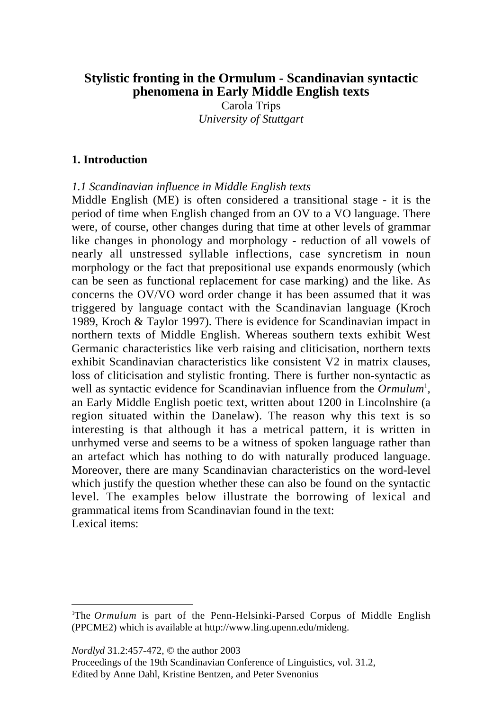# **Stylistic fronting in the Ormulum - Scandinavian syntactic phenomena in Early Middle English texts**

Carola Trips *University of Stuttgart*

#### **1. Introduction**

*1.1 Scandinavian influence in Middle English texts*

Middle English (ME) is often considered a transitional stage - it is the period of time when English changed from an OV to a VO language. There were, of course, other changes during that time at other levels of grammar like changes in phonology and morphology - reduction of all vowels of nearly all unstressed syllable inflections, case syncretism in noun morphology or the fact that prepositional use expands enormously (which can be seen as functional replacement for case marking) and the like. As concerns the OV/VO word order change it has been assumed that it was triggered by language contact with the Scandinavian language (Kroch 1989, Kroch & Taylor 1997). There is evidence for Scandinavian impact in northern texts of Middle English. Whereas southern texts exhibit West Germanic characteristics like verb raising and cliticisation, northern texts exhibit Scandinavian characteristics like consistent V2 in matrix clauses, loss of cliticisation and stylistic fronting. There is further non-syntactic as well as syntactic evidence for Scandinavian influence from the *Ormulum*<sup>1</sup>, an Early Middle English poetic text, written about 1200 in Lincolnshire (a region situated within the Danelaw). The reason why this text is so interesting is that although it has a metrical pattern, it is written in unrhymed verse and seems to be a witness of spoken language rather than an artefact which has nothing to do with naturally produced language. Moreover, there are many Scandinavian characteristics on the word-level which justify the question whether these can also be found on the syntactic level. The examples below illustrate the borrowing of lexical and grammatical items from Scandinavian found in the text: Lexical items:

*Nordlyd* 31.2:457-472, © the author 2003

Proceedings of the 19th Scandinavian Conference of Linguistics, vol. 31.2, Edited by Anne Dahl, Kristine Bentzen, and Peter Svenonius

 $\frac{1}{1}$ <sup>1</sup>The *Ormulum* is part of the Penn-Helsinki-Parsed Corpus of Middle English (PPCME2) which is available at http://www.ling.upenn.edu/mideng.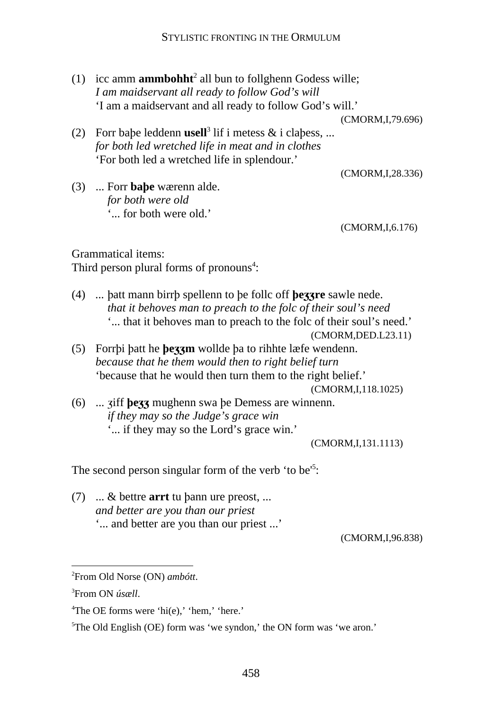(1) icc amm **ammbohht**<sup>2</sup> all bun to follghenn Godess wille; *I am maidservant all ready to follow God's will* 'I am a maidservant and all ready to follow God's will.'

(CMORM,I,79.696)

(2) Forr babe leddenn usell<sup>3</sup> lif i metess  $\&$  i clabess, ... *for both led wretched life in meat and in clothes* 'For both led a wretched life in splendour.'

(CMORM,I,28.336)

(3) ... Forr **babe** wærenn alde. *for both were old* '... for both were old.'

(CMORM,I,6.176)

Grammatical items: Third person plural forms of pronouns<sup>4</sup>:

(4) ... batt mann birrb spellenn to be follc off **bezzre** sawle nede. *that it behoves man to preach to the folc of their soul's need* '... that it behoves man to preach to the folc of their soul's need.'

(5) Forrbi batt he **bezzm** wollde ba to rihhte læfe wendenn. *because that he them would then to right belief turn* 'because that he would then turn them to the right belief.'

(CMORM,I,118.1025)

(6) ... ziff **bezz** mughenn swa be Demess are winnenn. *if they may so the Judge's grace win* '... if they may so the Lord's grace win.'

(CMORM,I,131.1113)

The second person singular form of the verb 'to be'<sup>5</sup>:

 $(7)$  ... & bettre **arrt** tu bann ure preost, ... *and better are you than our priest* '... and better are you than our priest ...'

(CMORM,I,96.838)

<sup>(</sup>CMORM,DED.L23.11)

 $\frac{1}{2}$ From Old Norse (ON) *ambótt*.

<sup>3</sup> From ON *úsæll*.

<sup>4</sup> The OE forms were 'hi(e),' 'hem,' 'here.'

<sup>&</sup>lt;sup>5</sup>The Old English (OE) form was 'we syndon,' the ON form was 'we aron.'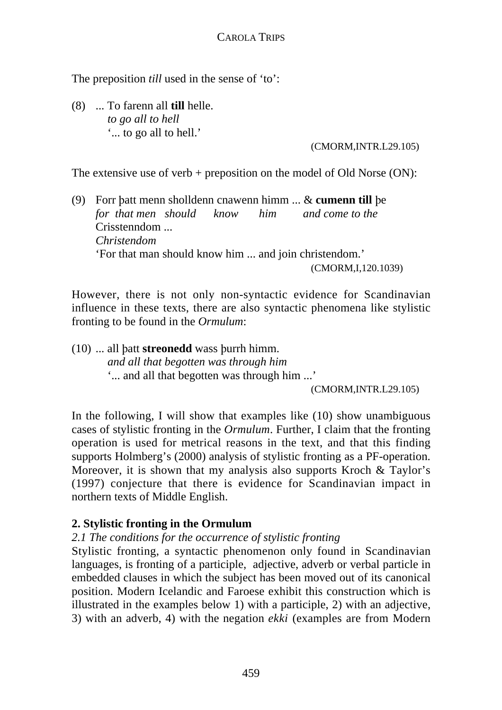The preposition *till* used in the sense of 'to':

(8) ... To farenn all **till** helle. *to go all to hell* '... to go all to hell.'

(CMORM,INTR.L29.105)

The extensive use of verb  $+$  preposition on the model of Old Norse (ON):

(9) Forr batt menn sholldenn cnawenn himm ... & **cumenn till** be *for that men should know him and come to the* Crisstenndom *Christendom* 'For that man should know him ... and join christendom.' (CMORM,I,120.1039)

However, there is not only non-syntactic evidence for Scandinavian influence in these texts, there are also syntactic phenomena like stylistic fronting to be found in the *Ormulum*:

 $(10)$  ... all batt **streonedd** wass burrh himm. *and all that begotten was through him* '... and all that begotten was through him ...'

(CMORM,INTR.L29.105)

In the following, I will show that examples like (10) show unambiguous cases of stylistic fronting in the *Ormulum*. Further, I claim that the fronting operation is used for metrical reasons in the text, and that this finding supports Holmberg's (2000) analysis of stylistic fronting as a PF-operation. Moreover, it is shown that my analysis also supports Kroch & Taylor's (1997) conjecture that there is evidence for Scandinavian impact in northern texts of Middle English.

### **2. Stylistic fronting in the Ormulum**

### *2.1 The conditions for the occurrence of stylistic fronting*

Stylistic fronting, a syntactic phenomenon only found in Scandinavian languages, is fronting of a participle, adjective, adverb or verbal particle in embedded clauses in which the subject has been moved out of its canonical position. Modern Icelandic and Faroese exhibit this construction which is illustrated in the examples below 1) with a participle, 2) with an adjective, 3) with an adverb, 4) with the negation *ekki* (examples are from Modern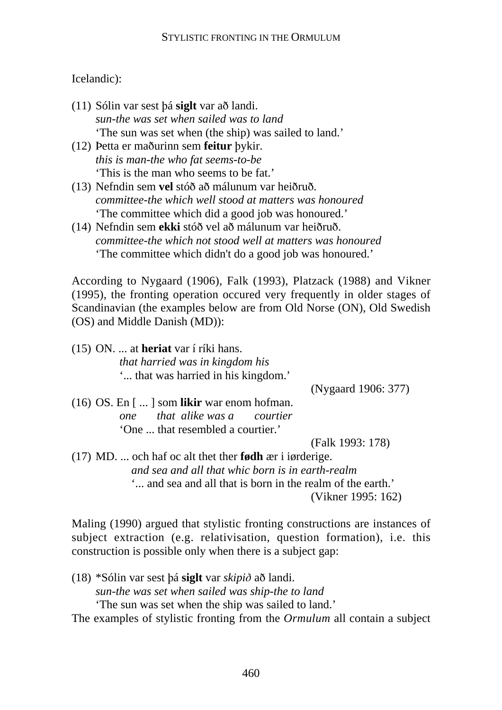### Icelandic):

- (11) Sólin var sest bá siglt var að landi. *sun-the was set when sailed was to land* 'The sun was set when (the ship) was sailed to land.'
- (12) Petta er maðurinn sem **feitur** bykir. *this is man-the who fat seems-to-be* 'This is the man who seems to be fat.'
- (13) Nefndin sem **vel** stóð að málunum var heiðruð. *committee-the which well stood at matters was honoured* 'The committee which did a good job was honoured.'
- (14) Nefndin sem ekki stóð vel að málunum var heiðruð. *committee-the which not stood well at matters was honoured* 'The committee which didn't do a good job was honoured.'

According to Nygaard (1906), Falk (1993), Platzack (1988) and Vikner (1995), the fronting operation occured very frequently in older stages of Scandinavian (the examples below are from Old Norse (ON), Old Swedish (OS) and Middle Danish (MD)):

(15) ON. ... at **heriat** var í ríki hans. *that harried was in kingdom his* '... that was harried in his kingdom.'

(Nygaard 1906: 377)

(16) OS. En [ ... ] som **likir** war enom hofman. *one that alike was a courtier* 'One ... that resembled a courtier.'

(Falk 1993: 178)

(17) MD. ... och haf oc alt thet ther **fødh** ær i iørderige. *and sea and all that whic born is in earth-realm* '... and sea and all that is born in the realm of the earth.' (Vikner 1995: 162)

Maling (1990) argued that stylistic fronting constructions are instances of subject extraction (e.g. relativisation, question formation), i.e. this construction is possible only when there is a subject gap:

 $(18)$  \*Sólin var sest bá **siglt** var *skipið* að landi. *sun-the was set when sailed was ship-the to land* 'The sun was set when the ship was sailed to land.'

The examples of stylistic fronting from the *Ormulum* all contain a subject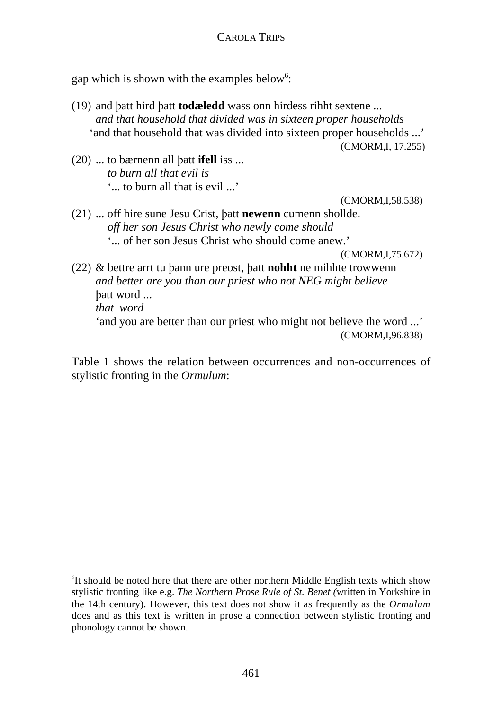gap which is shown with the examples below<sup>6</sup>:

(19) and batt hird batt **todæledd** wass onn hirdess rihht sextene ... *and that household that divided was in sixteen proper households* 'and that household that was divided into sixteen proper households ...'

(CMORM,I, 17.255)

 $(20)$  ... to bærnenn all batt **ifell** iss ... *to burn all that evil is* '... to burn all that is evil ...'

(CMORM,I,58.538)

(21) ... off hire sune Jesu Crist, batt **newenn** cumenn shollde. *off her son Jesus Christ who newly come should* '... of her son Jesus Christ who should come anew.'

(CMORM,I,75.672)

 $(22)$  & bettre arrt tu bann ure preost, batt **nohht** ne mihhte trowwenn *and better are you than our priest who not NEG might believe* batt word ... *that word* 'and you are better than our priest who might not believe the word ...' (CMORM,I,96.838)

Table 1 shows the relation between occurrences and non-occurrences of stylistic fronting in the *Ormulum*:

 <sup>6</sup>  ${}^{6}$ It should be noted here that there are other northern Middle English texts which show stylistic fronting like e.g. *The Northern Prose Rule of St. Benet (*written in Yorkshire in the 14th century). However, this text does not show it as frequently as the *Ormulum* does and as this text is written in prose a connection between stylistic fronting and phonology cannot be shown.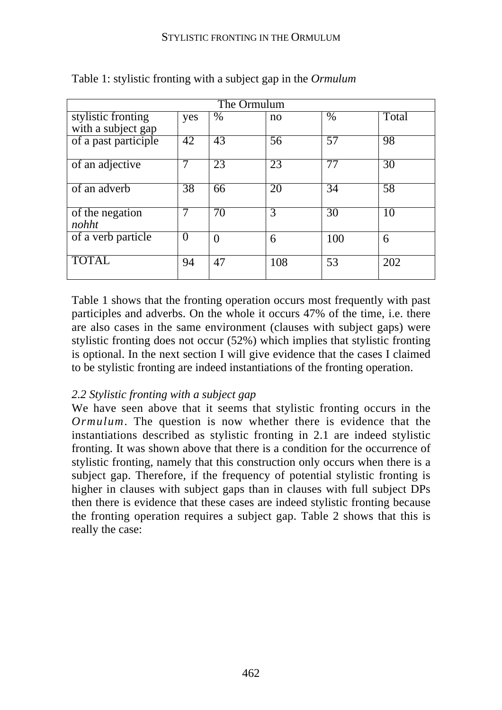| The Ormulum          |                 |          |     |      |       |  |
|----------------------|-----------------|----------|-----|------|-------|--|
| stylistic fronting   | yes             | $\%$     | no  | $\%$ | Total |  |
| with a subject gap   |                 |          |     |      |       |  |
| of a past participle | 42              | 43       | 56  | 57   | 98    |  |
|                      |                 |          |     |      |       |  |
| of an adjective      |                 | 23       | 23  | 77   | 30    |  |
|                      |                 |          |     |      |       |  |
| of an adverb         | $\overline{38}$ | 66       | 20  | 34   | 58    |  |
|                      |                 |          |     |      |       |  |
| of the negation      |                 | 70       | 3   | 30   | 10    |  |
| nohht                |                 |          |     |      |       |  |
| of a verb particle   | $\overline{0}$  | $\theta$ | 6   | 100  | 6     |  |
|                      |                 |          |     |      |       |  |
| <b>TOTAL</b>         | 94              | 47       | 108 | 53   | 202   |  |
|                      |                 |          |     |      |       |  |

Table 1: stylistic fronting with a subject gap in the *Ormulum*

Table 1 shows that the fronting operation occurs most frequently with past participles and adverbs. On the whole it occurs 47% of the time, i.e. there are also cases in the same environment (clauses with subject gaps) were stylistic fronting does not occur (52%) which implies that stylistic fronting is optional. In the next section I will give evidence that the cases I claimed to be stylistic fronting are indeed instantiations of the fronting operation.

### *2.2 Stylistic fronting with a subject gap*

We have seen above that it seems that stylistic fronting occurs in the *Ormulum*. The question is now whether there is evidence that the instantiations described as stylistic fronting in 2.1 are indeed stylistic fronting. It was shown above that there is a condition for the occurrence of stylistic fronting, namely that this construction only occurs when there is a subject gap. Therefore, if the frequency of potential stylistic fronting is higher in clauses with subject gaps than in clauses with full subject DPs then there is evidence that these cases are indeed stylistic fronting because the fronting operation requires a subject gap. Table 2 shows that this is really the case: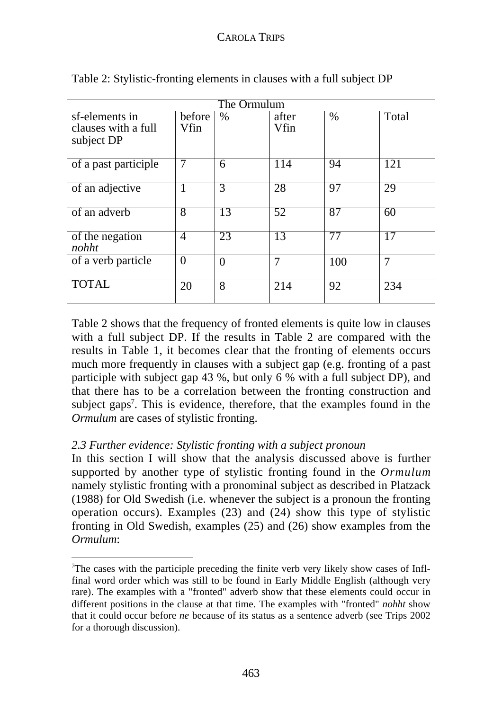| The Ormulum                                         |                |                 |                 |                 |                 |  |  |
|-----------------------------------------------------|----------------|-----------------|-----------------|-----------------|-----------------|--|--|
| sf-elements in<br>clauses with a full<br>subject DP | before<br>Vfin | $\%$            | after<br>Vfin   | $\%$            | Total           |  |  |
| of a past participle                                | $\overline{7}$ | 6               | 114             | 94              | 121             |  |  |
| of an adjective                                     |                | 3               | 28              | 97              | 29              |  |  |
| of an adverb                                        | 8              | $\overline{13}$ | $\overline{52}$ | $\overline{87}$ | 60              |  |  |
| of the negation<br>nohht                            | $\overline{4}$ | 23              | 13              | 77              | $\overline{17}$ |  |  |
| of a verb particle                                  | $\theta$       | $\theta$        | 7               | 100             | 7               |  |  |
| <b>TOTAL</b>                                        | 20             | 8               | 214             | 92              | 234             |  |  |

Table 2: Stylistic-fronting elements in clauses with a full subject DP

Table 2 shows that the frequency of fronted elements is quite low in clauses with a full subject DP. If the results in Table 2 are compared with the results in Table 1, it becomes clear that the fronting of elements occurs much more frequently in clauses with a subject gap (e.g. fronting of a past participle with subject gap 43 %, but only 6 % with a full subject DP), and that there has to be a correlation between the fronting construction and subject gaps<sup>7</sup>. This is evidence, therefore, that the examples found in the *Ormulum* are cases of stylistic fronting.

### *2.3 Further evidence: Stylistic fronting with a subject pronoun*

In this section I will show that the analysis discussed above is further supported by another type of stylistic fronting found in the *Ormulum* namely stylistic fronting with a pronominal subject as described in Platzack (1988) for Old Swedish (i.e. whenever the subject is a pronoun the fronting operation occurs). Examples (23) and (24) show this type of stylistic fronting in Old Swedish, examples (25) and (26) show examples from the *Ormulum*:

 $\frac{1}{7}$  $T$ The cases with the participle preceding the finite verb very likely show cases of Inflfinal word order which was still to be found in Early Middle English (although very rare). The examples with a "fronted" adverb show that these elements could occur in different positions in the clause at that time. The examples with "fronted" *nohht* show that it could occur before *ne* because of its status as a sentence adverb (see Trips 2002 for a thorough discussion).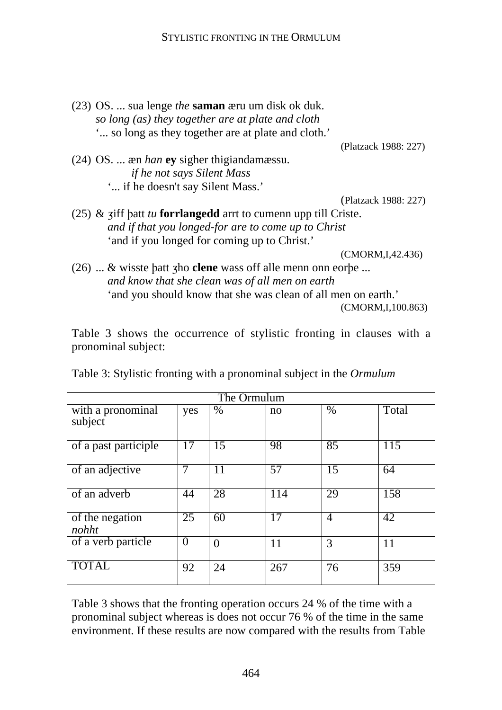(23) OS. ... sua lenge *the* **saman** æru um disk ok duk. *so long (as) they together are at plate and cloth* '... so long as they together are at plate and cloth.' (Platzack 1988: 227) (24) OS. ... æn *han* **ey** sigher thigiandamæssu. *if he not says Silent Mass* '... if he doesn't say Silent Mass.' (Platzack 1988: 227) (25)  $\&$  ziff batt *tu* **forrlangedd** arrt to cumenn upp till Criste. *and if that you longed-for are to come up to Christ* 'and if you longed for coming up to Christ.'

(CMORM,I,42.436)

 $(26)$  ... & wisste batt zho **clene** wass off alle menn onn eorbe ... *and know that she clean was of all men on earth* 'and you should know that she was clean of all men on earth.' (CMORM,I,100.863)

Table 3 shows the occurrence of stylistic fronting in clauses with a pronominal subject:

| The Ormulum                  |                 |          |                 |                 |       |  |
|------------------------------|-----------------|----------|-----------------|-----------------|-------|--|
| with a pronominal<br>subject | yes             | $\%$     | no              | $\%$            | Total |  |
| of a past participle         | 17              | 15       | 98              | 85              | 115   |  |
| of an adjective              | 7               | 11       | $\overline{57}$ | $\overline{15}$ | 64    |  |
| of an adverb                 | 44              | 28       | 114             | 29              | 158   |  |
| of the negation<br>nohht     | $\overline{25}$ | 60       | 17              | 4               | 42    |  |
| of a verb particle           | $\overline{0}$  | $\theta$ | 11              | 3               | 11    |  |
| <b>TOTAL</b>                 | 92              | 24       | 267             | 76              | 359   |  |

Table 3: Stylistic fronting with a pronominal subject in the *Ormulum*

Table 3 shows that the fronting operation occurs 24 % of the time with a pronominal subject whereas is does not occur 76 % of the time in the same environment. If these results are now compared with the results from Table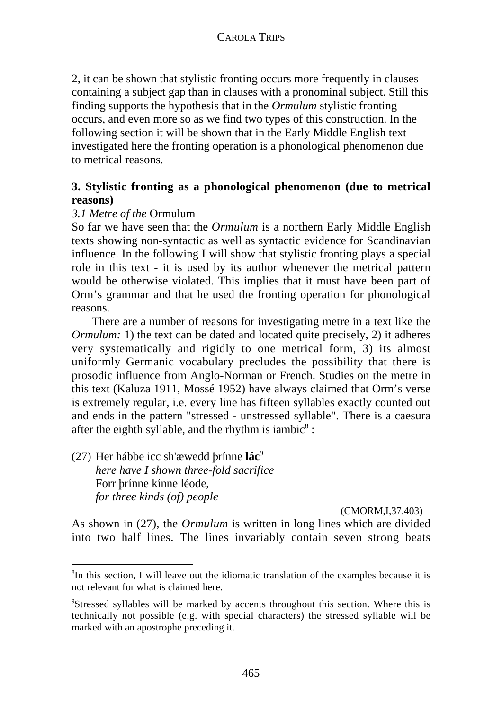2, it can be shown that stylistic fronting occurs more frequently in clauses containing a subject gap than in clauses with a pronominal subject. Still this finding supports the hypothesis that in the *Ormulum* stylistic fronting occurs, and even more so as we find two types of this construction. In the following section it will be shown that in the Early Middle English text investigated here the fronting operation is a phonological phenomenon due to metrical reasons.

## **3. Stylistic fronting as a phonological phenomenon (due to metrical reasons)**

## *3.1 Metre of the* Ormulum

So far we have seen that the *Ormulum* is a northern Early Middle English texts showing non-syntactic as well as syntactic evidence for Scandinavian influence. In the following I will show that stylistic fronting plays a special role in this text - it is used by its author whenever the metrical pattern would be otherwise violated. This implies that it must have been part of Orm's grammar and that he used the fronting operation for phonological reasons.

There are a number of reasons for investigating metre in a text like the *Ormulum:* 1) the text can be dated and located quite precisely, 2) it adheres very systematically and rigidly to one metrical form, 3) its almost uniformly Germanic vocabulary precludes the possibility that there is prosodic influence from Anglo-Norman or French. Studies on the metre in this text (Kaluza 1911, Mossé 1952) have always claimed that Orm's verse is extremely regular, i.e. every line has fifteen syllables exactly counted out and ends in the pattern "stressed - unstressed syllable". There is a caesura after the eighth syllable, and the rhythm is iambic<sup>8</sup>:

(27) Her hábbe icc sh'æwedd brínne **lác**<sup>9</sup> *here have I shown three-fold sacrifice* Forr brínne kínne léode, *for three kinds (of) people*

#### (CMORM,I,37.403)

As shown in (27), the *Ormulum* is written in long lines which are divided into two half lines. The lines invariably contain seven strong beats

 <sup>8</sup>  ${}^{8}$ In this section, I will leave out the idiomatic translation of the examples because it is not relevant for what is claimed here.

<sup>9</sup> Stressed syllables will be marked by accents throughout this section. Where this is technically not possible (e.g. with special characters) the stressed syllable will be marked with an apostrophe preceding it.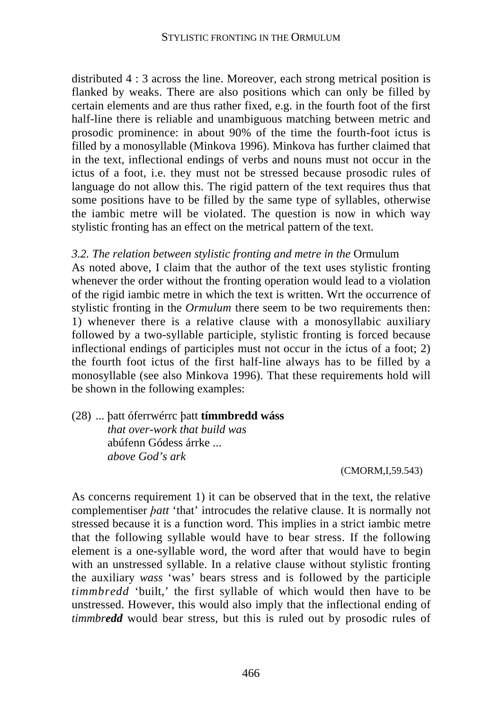distributed 4 : 3 across the line. Moreover, each strong metrical position is flanked by weaks. There are also positions which can only be filled by certain elements and are thus rather fixed, e.g. in the fourth foot of the first half-line there is reliable and unambiguous matching between metric and prosodic prominence: in about 90% of the time the fourth-foot ictus is filled by a monosyllable (Minkova 1996). Minkova has further claimed that in the text, inflectional endings of verbs and nouns must not occur in the ictus of a foot, i.e. they must not be stressed because prosodic rules of language do not allow this. The rigid pattern of the text requires thus that some positions have to be filled by the same type of syllables, otherwise the iambic metre will be violated. The question is now in which way stylistic fronting has an effect on the metrical pattern of the text.

### *3.2. The relation between stylistic fronting and metre in the* Ormulum

As noted above, I claim that the author of the text uses stylistic fronting whenever the order without the fronting operation would lead to a violation of the rigid iambic metre in which the text is written. Wrt the occurrence of stylistic fronting in the *Ormulum* there seem to be two requirements then: 1) whenever there is a relative clause with a monosyllabic auxiliary followed by a two-syllable participle, stylistic fronting is forced because inflectional endings of participles must not occur in the ictus of a foot; 2) the fourth foot ictus of the first half-line always has to be filled by a monosyllable (see also Minkova 1996). That these requirements hold will be shown in the following examples:

(28) ... batt óferrwérrc batt **tímmbredd wáss** *that over-work that build was* abúfenn Gódess árrke ... *above God's ark*

(CMORM,I,59.543)

As concerns requirement 1) it can be observed that in the text, the relative complementiser *batt* 'that' introcudes the relative clause. It is normally not stressed because it is a function word. This implies in a strict iambic metre that the following syllable would have to bear stress. If the following element is a one-syllable word, the word after that would have to begin with an unstressed syllable. In a relative clause without stylistic fronting the auxiliary *wass* 'was' bears stress and is followed by the participle *timmbredd* 'built,' the first syllable of which would then have to be unstressed. However, this would also imply that the inflectional ending of *timmbredd* would bear stress, but this is ruled out by prosodic rules of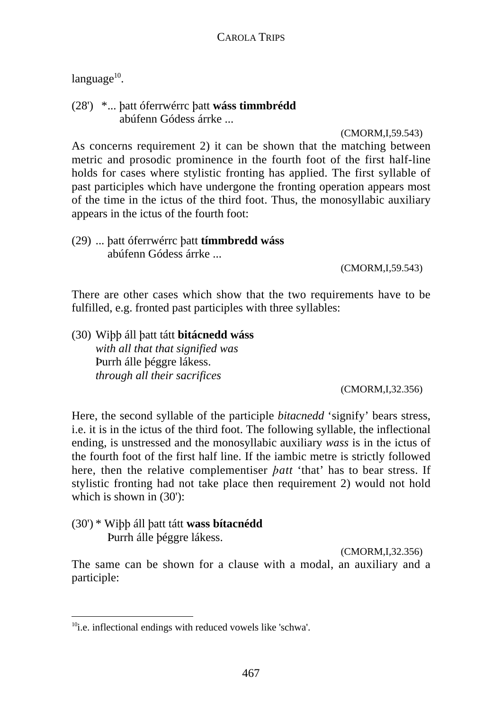$language^{10}$ .

(28') \*... flatt óferrwérrc flatt **wáss timmbrédd** abúfenn Gódess árrke ...

(CMORM,I,59.543)

As concerns requirement 2) it can be shown that the matching between metric and prosodic prominence in the fourth foot of the first half-line holds for cases where stylistic fronting has applied. The first syllable of past participles which have undergone the fronting operation appears most of the time in the ictus of the third foot. Thus, the monosyllabic auxiliary appears in the ictus of the fourth foot:

(29) ... flatt óferrwérrc flatt **tímmbredd wáss** abúfenn Gódess árrke ...

(CMORM,I,59.543)

There are other cases which show that the two requirements have to be fulfilled, e.g. fronted past participles with three syllables:

(30) Wiflfl áll flatt tátt **bitácnedd wáss** *with all that that signified was* Purrh álle béggre lákess. *through all their sacrifices*

(CMORM,I,32.356)

Here, the second syllable of the participle *bitacnedd* 'signify' bears stress, i.e. it is in the ictus of the third foot. The following syllable, the inflectional ending, is unstressed and the monosyllabic auxiliary *wass* is in the ictus of the fourth foot of the first half line. If the iambic metre is strictly followed here, then the relative complementiser *batt* 'that' has to bear stress. If stylistic fronting had not take place then requirement 2) would not hold which is shown in  $(30')$ :

(30') \* Wiflfl áll flatt tátt **wass bítacnédd** Purrh álle béggre lákess.

(CMORM,I,32.356)

The same can be shown for a clause with a modal, an auxiliary and a participle:

 $10$ <sup>10</sup>i.e. inflectional endings with reduced vowels like 'schwa'.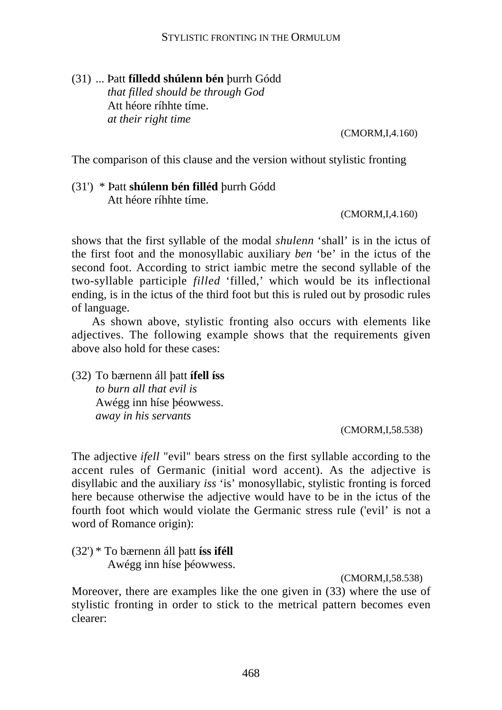### (31) ... Þatt **fílledd shúlenn bén** burrh Gódd *that filled should be through God* Att héore ríhhte tíme. *at their right time*

(CMORM,I,4.160)

The comparison of this clause and the version without stylistic fronting

### (31<sup>'</sup>) \* Patt **shúlenn bén filléd** burrh Gódd Att héore ríhhte tíme.

(CMORM,I,4.160)

shows that the first syllable of the modal *shulenn* 'shall' is in the ictus of the first foot and the monosyllabic auxiliary *ben* 'be' in the ictus of the second foot. According to strict iambic metre the second syllable of the two-syllable participle *filled* 'filled,' which would be its inflectional ending, is in the ictus of the third foot but this is ruled out by prosodic rules of language.

As shown above, stylistic fronting also occurs with elements like adjectives. The following example shows that the requirements given above also hold for these cases:

(32) To bærnenn áll batt **ífell íss** *to burn all that evil is* Awégg inn híse béowwess. *away in his servants*

(CMORM,I,58.538)

The adjective *ifell* "evil" bears stress on the first syllable according to the accent rules of Germanic (initial word accent). As the adjective is disyllabic and the auxiliary *iss* 'is' monosyllabic, stylistic fronting is forced here because otherwise the adjective would have to be in the ictus of the fourth foot which would violate the Germanic stress rule ('evil' is not a word of Romance origin):

(32') \* To bærnenn áll flatt **íss iféll** Awégg inn híse béowwess.

(CMORM,I,58.538)

Moreover, there are examples like the one given in (33) where the use of stylistic fronting in order to stick to the metrical pattern becomes even clearer: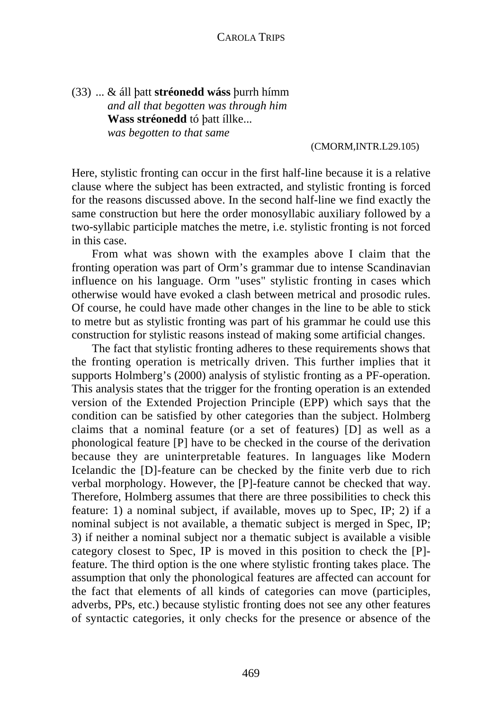(33) ... & áll batt **stréonedd wáss** burrh hímm *and all that begotten was through him* **Wass stréonedd** tó batt íllke... *was begotten to that same*

#### (CMORM,INTR.L29.105)

Here, stylistic fronting can occur in the first half-line because it is a relative clause where the subject has been extracted, and stylistic fronting is forced for the reasons discussed above. In the second half-line we find exactly the same construction but here the order monosyllabic auxiliary followed by a two-syllabic participle matches the metre, i.e. stylistic fronting is not forced in this case.

From what was shown with the examples above I claim that the fronting operation was part of Orm's grammar due to intense Scandinavian influence on his language. Orm "uses" stylistic fronting in cases which otherwise would have evoked a clash between metrical and prosodic rules. Of course, he could have made other changes in the line to be able to stick to metre but as stylistic fronting was part of his grammar he could use this construction for stylistic reasons instead of making some artificial changes.

The fact that stylistic fronting adheres to these requirements shows that the fronting operation is metrically driven. This further implies that it supports Holmberg's (2000) analysis of stylistic fronting as a PF-operation. This analysis states that the trigger for the fronting operation is an extended version of the Extended Projection Principle (EPP) which says that the condition can be satisfied by other categories than the subject. Holmberg claims that a nominal feature (or a set of features) [D] as well as a phonological feature [P] have to be checked in the course of the derivation because they are uninterpretable features. In languages like Modern Icelandic the [D]-feature can be checked by the finite verb due to rich verbal morphology. However, the [P]-feature cannot be checked that way. Therefore, Holmberg assumes that there are three possibilities to check this feature: 1) a nominal subject, if available, moves up to Spec, IP; 2) if a nominal subject is not available, a thematic subject is merged in Spec, IP; 3) if neither a nominal subject nor a thematic subject is available a visible category closest to Spec, IP is moved in this position to check the [P] feature. The third option is the one where stylistic fronting takes place. The assumption that only the phonological features are affected can account for the fact that elements of all kinds of categories can move (participles, adverbs, PPs, etc.) because stylistic fronting does not see any other features of syntactic categories, it only checks for the presence or absence of the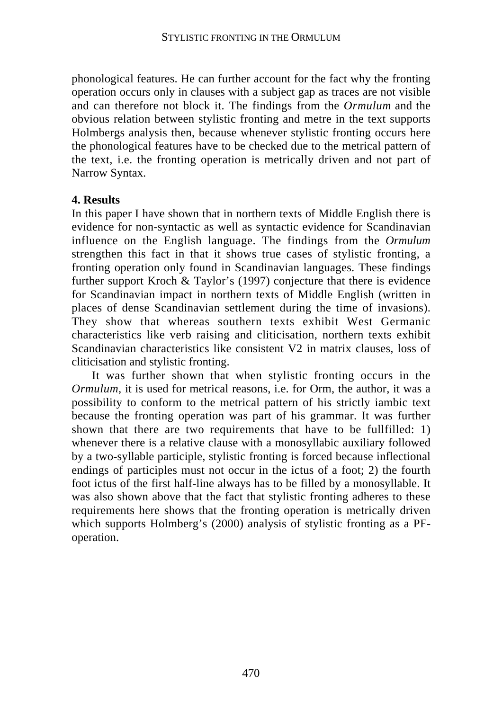phonological features. He can further account for the fact why the fronting operation occurs only in clauses with a subject gap as traces are not visible and can therefore not block it. The findings from the *Ormulum* and the obvious relation between stylistic fronting and metre in the text supports Holmbergs analysis then, because whenever stylistic fronting occurs here the phonological features have to be checked due to the metrical pattern of the text, i.e. the fronting operation is metrically driven and not part of Narrow Syntax.

### **4. Results**

In this paper I have shown that in northern texts of Middle English there is evidence for non-syntactic as well as syntactic evidence for Scandinavian influence on the English language. The findings from the *Ormulum* strengthen this fact in that it shows true cases of stylistic fronting, a fronting operation only found in Scandinavian languages. These findings further support Kroch & Taylor's (1997) conjecture that there is evidence for Scandinavian impact in northern texts of Middle English (written in places of dense Scandinavian settlement during the time of invasions). They show that whereas southern texts exhibit West Germanic characteristics like verb raising and cliticisation, northern texts exhibit Scandinavian characteristics like consistent V2 in matrix clauses, loss of cliticisation and stylistic fronting.

It was further shown that when stylistic fronting occurs in the *Ormulum*, it is used for metrical reasons, i.e. for Orm, the author, it was a possibility to conform to the metrical pattern of his strictly iambic text because the fronting operation was part of his grammar. It was further shown that there are two requirements that have to be fullfilled: 1) whenever there is a relative clause with a monosyllabic auxiliary followed by a two-syllable participle, stylistic fronting is forced because inflectional endings of participles must not occur in the ictus of a foot; 2) the fourth foot ictus of the first half-line always has to be filled by a monosyllable. It was also shown above that the fact that stylistic fronting adheres to these requirements here shows that the fronting operation is metrically driven which supports Holmberg's (2000) analysis of stylistic fronting as a PFoperation.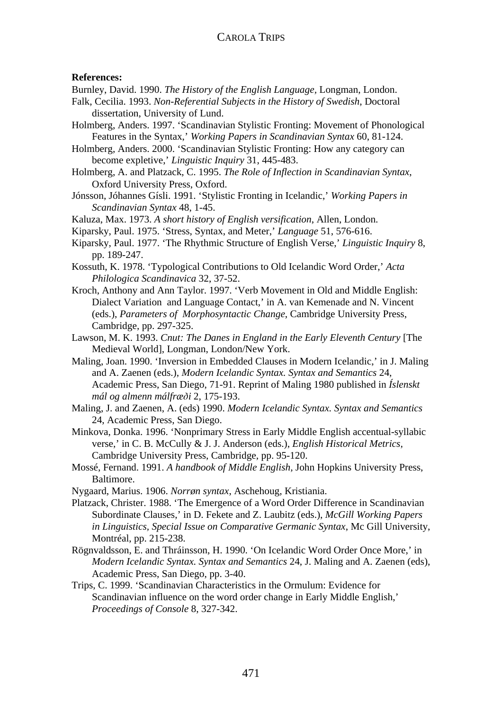#### CAROLA TRIPS

#### **References:**

Burnley, David. 1990. *The History of the English Language,* Longman, London.

- Falk, Cecilia. 1993. *Non-Referential Subjects in the History of Swedish*, Doctoral dissertation, University of Lund.
- Holmberg, Anders. 1997. 'Scandinavian Stylistic Fronting: Movement of Phonological Features in the Syntax,' *Working Papers in Scandinavian Syntax* 60, 81-124.

Holmberg, Anders. 2000. 'Scandinavian Stylistic Fronting: How any category can become expletive,' *Linguistic Inquiry* 31, 445-483.

- Holmberg, A. and Platzack, C. 1995. *The Role of Inflection in Scandinavian Syntax*, Oxford University Press, Oxford.
- Jónsson, Jóhannes Gísli. 1991. 'Stylistic Fronting in Icelandic,' *Working Papers in Scandinavian Syntax* 48, 1-45.

Kaluza, Max. 1973. *A short history of English versification*, Allen, London.

Kiparsky, Paul. 1975. 'Stress, Syntax, and Meter,' *Language* 51, 576-616.

- Kiparsky, Paul. 1977. 'The Rhythmic Structure of English Verse,' *Linguistic Inquiry* 8, pp. 189-247.
- Kossuth, K. 1978. 'Typological Contributions to Old Icelandic Word Order,' *Acta Philologica Scandinavica* 32, 37-52.
- Kroch, Anthony and Ann Taylor. 1997. 'Verb Movement in Old and Middle English: Dialect Variation and Language Contact,' in A. van Kemenade and N. Vincent (eds.), *Parameters of Morphosyntactic Change*, Cambridge University Press, Cambridge, pp. 297-325.
- Lawson, M. K. 1993. *Cnut: The Danes in England in the Early Eleventh Century* [The Medieval World], Longman, London/New York.
- Maling, Joan. 1990. 'Inversion in Embedded Clauses in Modern Icelandic,' in J. Maling and A. Zaenen (eds.), *Modern Icelandic Syntax. Syntax and Semantics* 24, Academic Press, San Diego, 71-91. Reprint of Maling 1980 published in *Íslenskt mál og almenn málfræ›i* 2, 175-193.
- Maling, J. and Zaenen, A. (eds) 1990. *Modern Icelandic Syntax. Syntax and Semantics* 24, Academic Press, San Diego.
- Minkova, Donka. 1996. 'Nonprimary Stress in Early Middle English accentual-syllabic verse,' in C. B. McCully & J. J. Anderson (eds.), *English Historical Metrics,* Cambridge University Press, Cambridge, pp. 95-120.
- Mossé, Fernand. 1991. *A handbook of Middle English,* John Hopkins University Press, Baltimore.
- Nygaard, Marius. 1906. *Norrøn syntax*, Aschehoug, Kristiania.
- Platzack, Christer. 1988. 'The Emergence of a Word Order Difference in Scandinavian Subordinate Clauses,' in D. Fekete and Z. Laubitz (eds.), *McGill Working Papers in Linguistics, Special Issue on Comparative Germanic Syntax*, Mc Gill University, Montréal, pp. 215-238.
- Rögnvaldsson, E. and Thráinsson, H. 1990. 'On Icelandic Word Order Once More,' in *Modern Icelandic Syntax. Syntax and Semantics* 24, J. Maling and A. Zaenen (eds), Academic Press, San Diego, pp. 3-40.
- Trips, C. 1999. 'Scandinavian Characteristics in the Ormulum: Evidence for Scandinavian influence on the word order change in Early Middle English,' *Proceedings of Console* 8, 327-342.